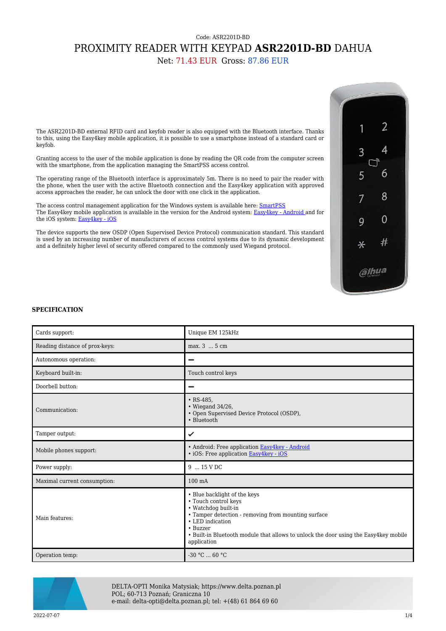## Code: ASR2201D-BD PROXIMITY READER WITH KEYPAD **ASR2201D-BD** DAHUA

Net: 71.43 EUR Gross: 87.86 EUR

The ASR2201D-BD external RFID card and keyfob reader is also equipped with the Bluetooth interface. Thanks to this, using the Easy4key mobile application, it is possible to use a smartphone instead of a standard card or keyfob.

Granting access to the user of the mobile application is done by reading the QR code from the computer screen with the smartphone, from the application managing the SmartPSS access control.

The operating range of the Bluetooth interface is approximately 5m. There is no need to pair the reader with the phone, when the user with the active Bluetooth connection and the Easy4key application with approved access approaches the reader, he can unlock the door with one click in the application.

The access control management application for the Windows system is available here: **SmartPSS** The Easy4key mobile application is available in the version for the Android system: [Easy4key - Android a](https://play.google.com/store/apps/details?id=com.dahua.technology.easyforall)nd for the iOS system: [Easy4key - iOS](https://itunes.apple.com/us/app/easy4key/id1423513779?mt=8)

The device supports the new OSDP (Open Supervised Device Protocol) communication standard. This standard is used by an increasing number of manufacturers of access control systems due to its dynamic development and a definitely higher level of security offered compared to the commonly used Wiegand protocol.



## **SPECIFICATION**

| Cards support:                 | Unique EM 125kHz                                                                                                                                                                                                                                                          |
|--------------------------------|---------------------------------------------------------------------------------------------------------------------------------------------------------------------------------------------------------------------------------------------------------------------------|
| Reading distance of prox-keys: | max. 3  5 cm                                                                                                                                                                                                                                                              |
| Autonomous operation:          |                                                                                                                                                                                                                                                                           |
| Keyboard built-in:             | Touch control keys                                                                                                                                                                                                                                                        |
| Doorbell button:               |                                                                                                                                                                                                                                                                           |
| Communication:                 | $\cdot$ RS-485,<br>$\cdot$ Wiegand 34/26,<br>• Open Supervised Device Protocol (OSDP),<br>• Bluetooth                                                                                                                                                                     |
| Tamper output:                 | ✓                                                                                                                                                                                                                                                                         |
| Mobile phones support:         | • Android: Free application Easy4key - Android<br>· iOS: Free application Easy4key - iOS                                                                                                                                                                                  |
| Power supply:                  | 9  15 V DC                                                                                                                                                                                                                                                                |
| Maximal current consumption:   | $100 \text{ mA}$                                                                                                                                                                                                                                                          |
| Main features:                 | • Blue backlight of the keys<br>• Touch control keys<br>• Watchdog built-in<br>• Tamper detection - removing from mounting surface<br>• LED indication<br>• Buzzer<br>• Built-in Bluetooth module that allows to unlock the door using the Easy4key mobile<br>application |
| Operation temp:                | $-30 °C$ 60 °C                                                                                                                                                                                                                                                            |



DELTA-OPTI Monika Matysiak; https://www.delta.poznan.pl POL; 60-713 Poznań; Graniczna 10 e-mail: delta-opti@delta.poznan.pl; tel: +(48) 61 864 69 60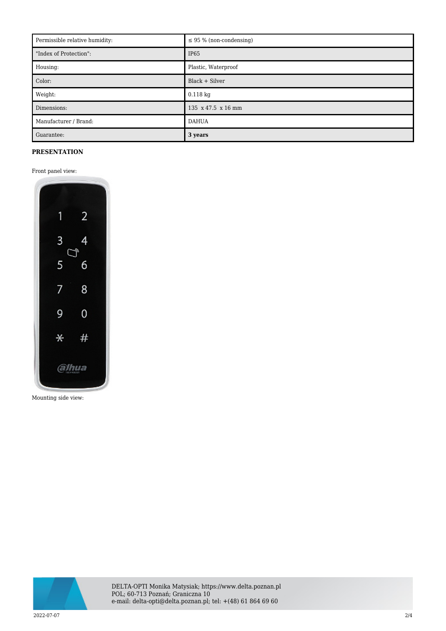| Permissible relative humidity: | $\leq$ 95 % (non-condensing) |
|--------------------------------|------------------------------|
| "Index of Protection":         | IP <sub>65</sub>             |
| Housing:                       | Plastic, Waterproof          |
| Color:                         | Black + Silver               |
| Weight:                        | $0.118$ kg                   |
| Dimensions:                    | 135 x 47.5 x 16 mm           |
| Manufacturer / Brand:          | <b>DAHUA</b>                 |
| Guarantee:                     | 3 years                      |

## **PRESENTATION**

## Front panel view:



Mounting side view:



DELTA-OPTI Monika Matysiak; https://www.delta.poznan.pl POL; 60-713 Poznań; Graniczna 10 e-mail: delta-opti@delta.poznan.pl; tel: +(48) 61 864 69 60

2022-07-07 2/4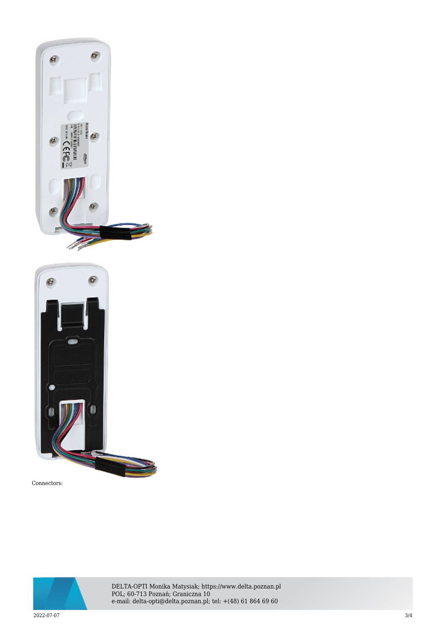



Connectors:



DELTA-OPTI Monika Matysiak; https://www.delta.poznan.pl POL; 60-713 Poznań; Graniczna 10 e-mail: delta-opti@delta.poznan.pl; tel: +(48) 61 864 69 60

2022-07-07 3/4